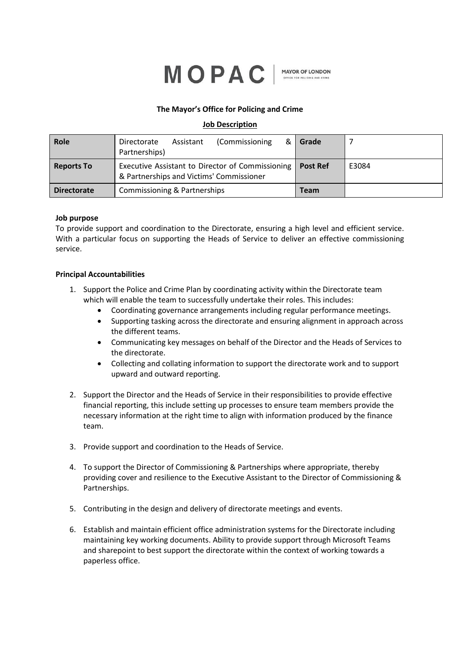

**MAYOR OF LONDON** 

## **The Mayor's Office for Policing and Crime**

# **Job Description**

| Role               | (Commissioning<br>&<br>Directorate<br>Assistant<br>Partnerships)                             | Grade           |       |
|--------------------|----------------------------------------------------------------------------------------------|-----------------|-------|
| <b>Reports To</b>  | Executive Assistant to Director of Commissioning<br>& Partnerships and Victims' Commissioner | <b>Post Ref</b> | E3084 |
| <b>Directorate</b> | Commissioning & Partnerships                                                                 | <b>Team</b>     |       |

### **Job purpose**

To provide support and coordination to the Directorate, ensuring a high level and efficient service. With a particular focus on supporting the Heads of Service to deliver an effective commissioning service.

### **Principal Accountabilities**

- 1. Support the Police and Crime Plan by coordinating activity within the Directorate team which will enable the team to successfully undertake their roles. This includes:
	- Coordinating governance arrangements including regular performance meetings.
	- Supporting tasking across the directorate and ensuring alignment in approach across the different teams.
	- Communicating key messages on behalf of the Director and the Heads of Services to the directorate.
	- Collecting and collating information to support the directorate work and to support upward and outward reporting.
- 2. Support the Director and the Heads of Service in their responsibilities to provide effective financial reporting, this include setting up processes to ensure team members provide the necessary information at the right time to align with information produced by the finance team.
- 3. Provide support and coordination to the Heads of Service.
- 4. To support the Director of Commissioning & Partnerships where appropriate, thereby providing cover and resilience to the Executive Assistant to the Director of Commissioning & Partnerships.
- 5. Contributing in the design and delivery of directorate meetings and events.
- 6. Establish and maintain efficient office administration systems for the Directorate including maintaining key working documents. Ability to provide support through Microsoft Teams and sharepoint to best support the directorate within the context of working towards a paperless office.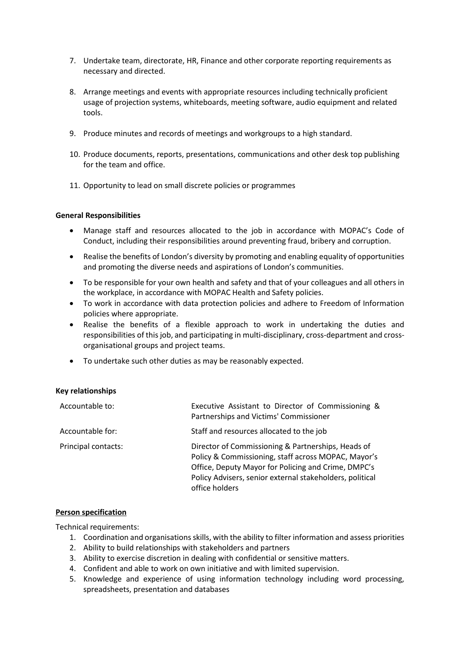- 7. Undertake team, directorate, HR, Finance and other corporate reporting requirements as necessary and directed.
- 8. Arrange meetings and events with appropriate resources including technically proficient usage of projection systems, whiteboards, meeting software, audio equipment and related tools.
- 9. Produce minutes and records of meetings and workgroups to a high standard.
- 10. Produce documents, reports, presentations, communications and other desk top publishing for the team and office.
- 11. Opportunity to lead on small discrete policies or programmes

## **General Responsibilities**

- Manage staff and resources allocated to the job in accordance with MOPAC's Code of Conduct, including their responsibilities around preventing fraud, bribery and corruption.
- Realise the benefits of London's diversity by promoting and enabling equality of opportunities and promoting the diverse needs and aspirations of London's communities.
- To be responsible for your own health and safety and that of your colleagues and all others in the workplace, in accordance with MOPAC Health and Safety policies.
- To work in accordance with data protection policies and adhere to Freedom of Information policies where appropriate.
- Realise the benefits of a flexible approach to work in undertaking the duties and responsibilities of this job, and participating in multi-disciplinary, cross-department and crossorganisational groups and project teams.
- To undertake such other duties as may be reasonably expected.

## **Key relationships**

| Accountable to:     | Executive Assistant to Director of Commissioning &<br>Partnerships and Victims' Commissioner                                                                                                                                                   |
|---------------------|------------------------------------------------------------------------------------------------------------------------------------------------------------------------------------------------------------------------------------------------|
| Accountable for:    | Staff and resources allocated to the job                                                                                                                                                                                                       |
| Principal contacts: | Director of Commissioning & Partnerships, Heads of<br>Policy & Commissioning, staff across MOPAC, Mayor's<br>Office, Deputy Mayor for Policing and Crime, DMPC's<br>Policy Advisers, senior external stakeholders, political<br>office holders |

## **Person specification**

Technical requirements:

- 1. Coordination and organisations skills, with the ability to filter information and assess priorities
- 2. Ability to build relationships with stakeholders and partners
- 3. Ability to exercise discretion in dealing with confidential or sensitive matters.
- 4. Confident and able to work on own initiative and with limited supervision.
- 5. Knowledge and experience of using information technology including word processing, spreadsheets, presentation and databases